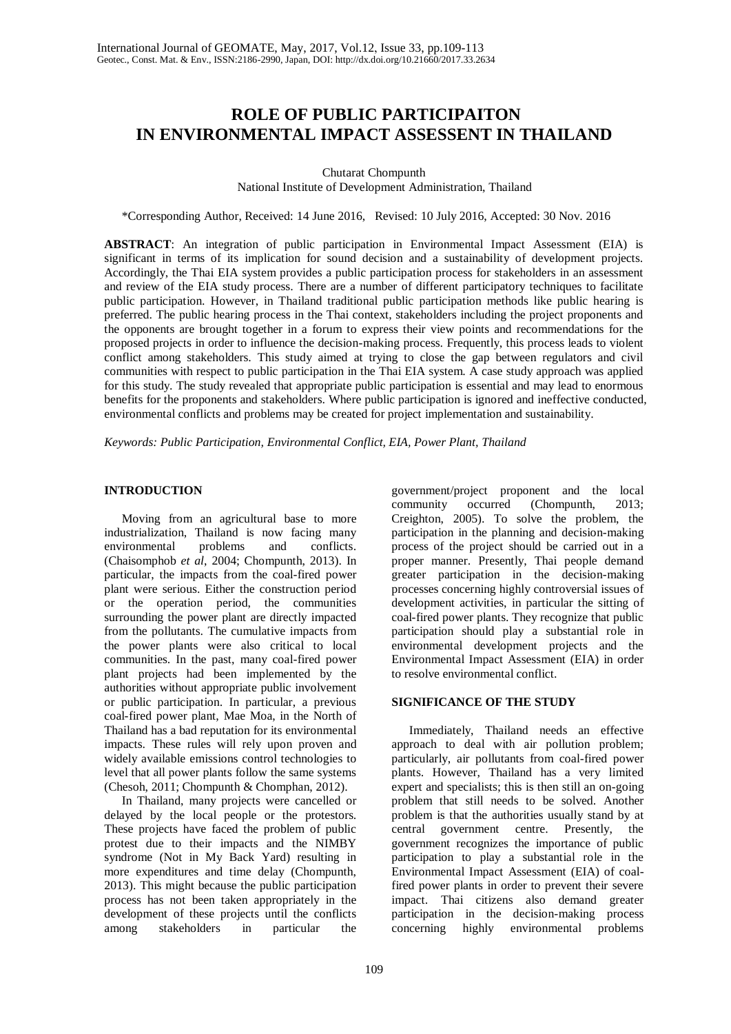# **ROLE OF PUBLIC PARTICIPAITON IN ENVIRONMENTAL IMPACT ASSESSENT IN THAILAND**

Chutarat Chompunth

National Institute of Development Administration, Thailand

\*Corresponding Author, Received: 14 June 2016, Revised: 10 July 2016, Accepted: 30 Nov. 2016

**ABSTRACT**: An integration of public participation in Environmental Impact Assessment (EIA) is significant in terms of its implication for sound decision and a sustainability of development projects. Accordingly, the Thai EIA system provides a public participation process for stakeholders in an assessment and review of the EIA study process. There are a number of different participatory techniques to facilitate public participation. However, in Thailand traditional public participation methods like public hearing is preferred. The public hearing process in the Thai context, stakeholders including the project proponents and the opponents are brought together in a forum to express their view points and recommendations for the proposed projects in order to influence the decision-making process. Frequently, this process leads to violent conflict among stakeholders. This study aimed at trying to close the gap between regulators and civil communities with respect to public participation in the Thai EIA system. A case study approach was applied for this study. The study revealed that appropriate public participation is essential and may lead to enormous benefits for the proponents and stakeholders. Where public participation is ignored and ineffective conducted, environmental conflicts and problems may be created for project implementation and sustainability.

*Keywords: Public Participation, Environmental Conflict, EIA, Power Plant, Thailand* 

#### **INTRODUCTION**

Moving from an agricultural base to more industrialization, Thailand is now facing many environmental problems and conflicts. (Chaisomphob *et al*, 2004; Chompunth, 2013). In particular, the impacts from the coal-fired power plant were serious. Either the construction period or the operation period, the communities surrounding the power plant are directly impacted from the pollutants. The cumulative impacts from the power plants were also critical to local communities. In the past, many coal-fired power plant projects had been implemented by the authorities without appropriate public involvement or public participation. In particular, a previous coal-fired power plant, Mae Moa, in the North of Thailand has a bad reputation for its environmental impacts. These rules will rely upon proven and widely available emissions control technologies to level that all power plants follow the same systems (Chesoh, 2011; Chompunth & Chomphan, 2012).

In Thailand, many projects were cancelled or delayed by the local people or the protestors. These projects have faced the problem of public protest due to their impacts and the NIMBY syndrome (Not in My Back Yard) resulting in more expenditures and time delay (Chompunth, 2013). This might because the public participation process has not been taken appropriately in the development of these projects until the conflicts among stakeholders in particular the

government/project proponent and the local community occurred (Chompunth, 2013; Creighton, 2005). To solve the problem, the participation in the planning and decision-making process of the project should be carried out in a proper manner. Presently, Thai people demand greater participation in the decision-making processes concerning highly controversial issues of development activities, in particular the sitting of coal-fired power plants. They recognize that public participation should play a substantial role in environmental development projects and the Environmental Impact Assessment (EIA) in order to resolve environmental conflict.

#### **SIGNIFICANCE OF THE STUDY**

Immediately, Thailand needs an effective approach to deal with air pollution problem; particularly, air pollutants from coal-fired power plants. However, Thailand has a very limited expert and specialists; this is then still an on-going problem that still needs to be solved. Another problem is that the authorities usually stand by at central government centre. Presently, the government recognizes the importance of public participation to play a substantial role in the Environmental Impact Assessment (EIA) of coalfired power plants in order to prevent their severe impact. Thai citizens also demand greater participation in the decision-making process concerning highly environmental problems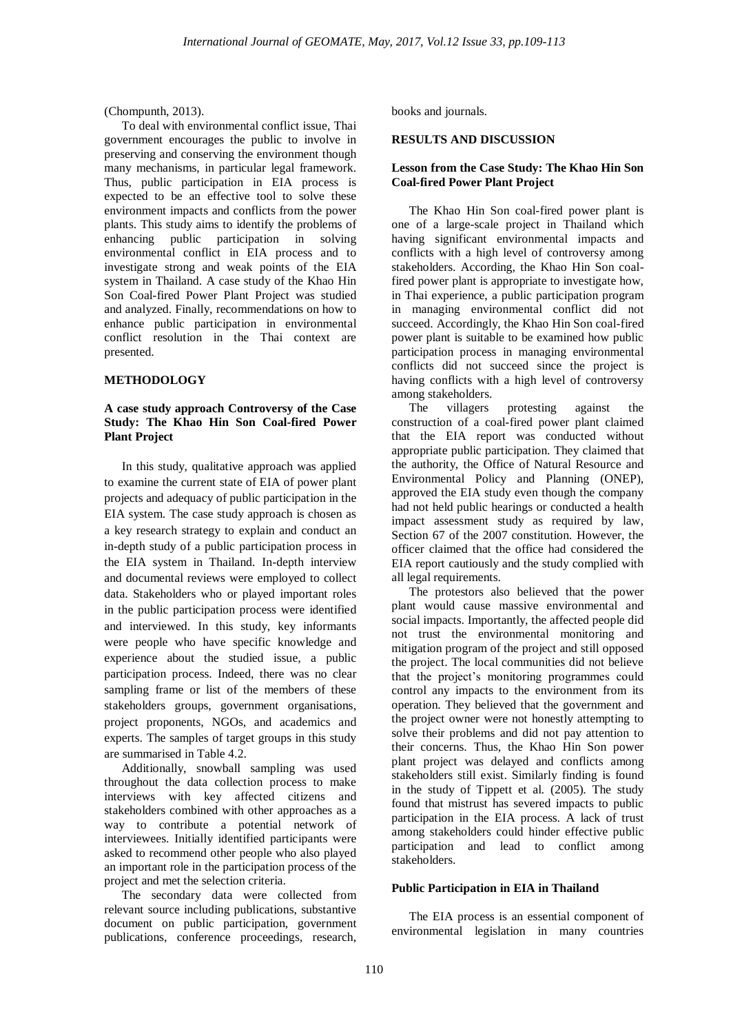(Chompunth, 2013).

To deal with environmental conflict issue, Thai government encourages the public to involve in preserving and conserving the environment though many mechanisms, in particular legal framework. Thus, public participation in EIA process is expected to be an effective tool to solve these environment impacts and conflicts from the power plants. This study aims to identify the problems of enhancing public participation in solving environmental conflict in EIA process and to investigate strong and weak points of the EIA system in Thailand. A case study of the Khao Hin Son Coal-fired Power Plant Project was studied and analyzed. Finally, recommendations on how to enhance public participation in environmental conflict resolution in the Thai context are presented.

#### **METHODOLOGY**

#### **A case study approach Controversy of the Case Study: The Khao Hin Son Coal-fired Power Plant Project**

In this study, qualitative approach was applied to examine the current state of EIA of power plant projects and adequacy of public participation in the EIA system. The case study approach is chosen as a key research strategy to explain and conduct an in-depth study of a public participation process in the EIA system in Thailand. In-depth interview and documental reviews were employed to collect data. Stakeholders who or played important roles in the public participation process were identified and interviewed. In this study, key informants were people who have specific knowledge and experience about the studied issue, a public participation process. Indeed, there was no clear sampling frame or list of the members of these stakeholders groups, government organisations, project proponents, NGOs, and academics and experts. The samples of target groups in this study are summarised in Table 4.2.

Additionally, snowball sampling was used throughout the data collection process to make interviews with key affected citizens and stakeholders combined with other approaches as a way to contribute a potential network of interviewees. Initially identified participants were asked to recommend other people who also played an important role in the participation process of the project and met the selection criteria.

The secondary data were collected from relevant source including publications, substantive document on public participation, government publications, conference proceedings, research,

books and journals.

#### **RESULTS AND DISCUSSION**

#### **Lesson from the Case Study: The Khao Hin Son Coal-fired Power Plant Project**

The Khao Hin Son coal-fired power plant is one of a large-scale project in Thailand which having significant environmental impacts and conflicts with a high level of controversy among stakeholders. According, the Khao Hin Son coalfired power plant is appropriate to investigate how, in Thai experience, a public participation program in managing environmental conflict did not succeed. Accordingly, the Khao Hin Son coal-fired power plant is suitable to be examined how public participation process in managing environmental conflicts did not succeed since the project is having conflicts with a high level of controversy among stakeholders.

The villagers protesting against the construction of a coal-fired power plant claimed that the EIA report was conducted without appropriate public participation. They claimed that the authority, the Office of Natural Resource and Environmental Policy and Planning (ONEP), approved the EIA study even though the company had not held public hearings or conducted a health impact assessment study as required by law, Section 67 of the 2007 constitution. However, the officer claimed that the office had considered the EIA report cautiously and the study complied with all legal requirements.

The protestors also believed that the power plant would cause massive environmental and social impacts. Importantly, the affected people did not trust the environmental monitoring and mitigation program of the project and still opposed the project. The local communities did not believe that the project's monitoring programmes could control any impacts to the environment from its operation. They believed that the government and the project owner were not honestly attempting to solve their problems and did not pay attention to their concerns. Thus, the Khao Hin Son power plant project was delayed and conflicts among stakeholders still exist. Similarly finding is found in the study of Tippett et al. (2005). The study found that mistrust has severed impacts to public participation in the EIA process. A lack of trust among stakeholders could hinder effective public participation and lead to conflict among stakeholders.

#### **Public Participation in EIA in Thailand**

The EIA process is an essential component of environmental legislation in many countries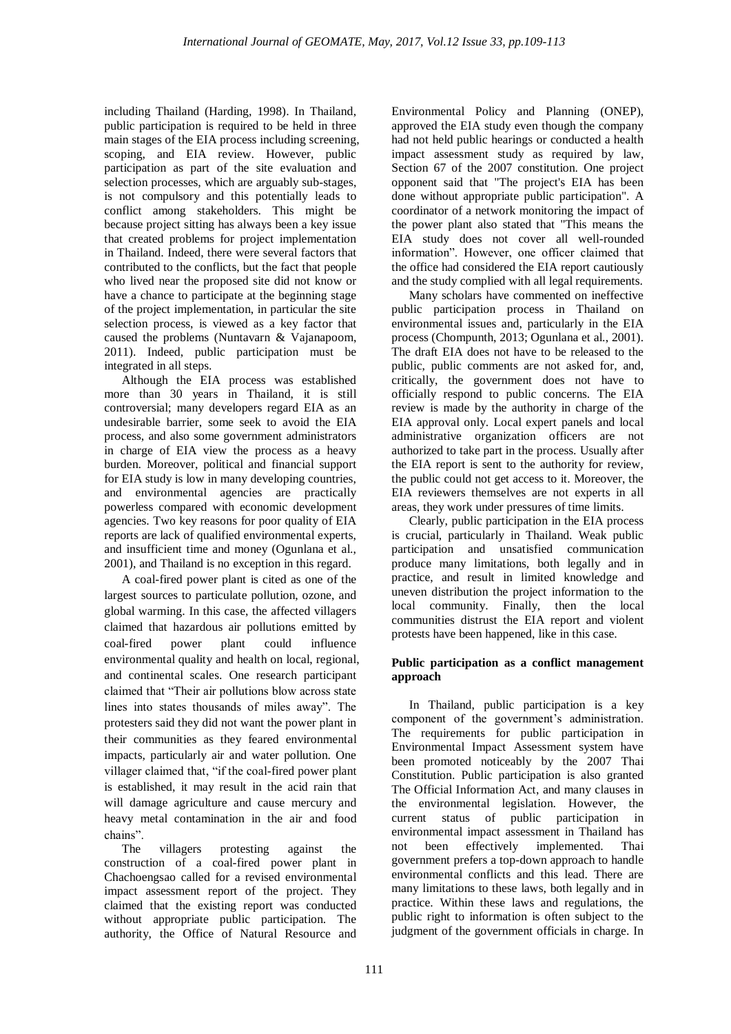including Thailand (Harding, 1998). In Thailand, public participation is required to be held in three main stages of the EIA process including screening, scoping, and EIA review. However, public participation as part of the site evaluation and selection processes, which are arguably sub-stages, is not compulsory and this potentially leads to conflict among stakeholders. This might be because project sitting has always been a key issue that created problems for project implementation in Thailand. Indeed, there were several factors that contributed to the conflicts, but the fact that people who lived near the proposed site did not know or have a chance to participate at the beginning stage of the project implementation, in particular the site selection process, is viewed as a key factor that caused the problems (Nuntavarn & Vajanapoom, 2011). Indeed, public participation must be integrated in all steps.

Although the EIA process was established more than 30 years in Thailand, it is still controversial; many developers regard EIA as an undesirable barrier, some seek to avoid the EIA process, and also some government administrators in charge of EIA view the process as a heavy burden. Moreover, political and financial support for EIA study is low in many developing countries, and environmental agencies are practically powerless compared with economic development agencies. Two key reasons for poor quality of EIA reports are lack of qualified environmental experts, and insufficient time and money (Ogunlana et al., 2001), and Thailand is no exception in this regard.

A coal-fired power plant is cited as one of the largest sources to particulate pollution, ozone, and global warming. In this case, the affected villagers claimed that hazardous air pollutions emitted by coal-fired power plant could influence environmental quality and health on local, regional, and continental scales. One research participant claimed that "Their air pollutions blow across state lines into states thousands of miles away". The protesters said they did not want the power plant in their communities as they feared environmental impacts, particularly air and water pollution. One villager claimed that, "if the coal-fired power plant is established, it may result in the acid rain that will damage agriculture and cause mercury and heavy metal contamination in the air and food chains".

The villagers protesting against the construction of a coal-fired power plant in Chachoengsao called for a revised environmental impact assessment report of the project. They claimed that the existing report was conducted without appropriate public participation. The authority, the Office of Natural Resource and

Environmental Policy and Planning (ONEP), approved the EIA study even though the company had not held public hearings or conducted a health impact assessment study as required by law, Section 67 of the 2007 constitution. One project opponent said that "The project's EIA has been done without appropriate public participation". A coordinator of a network monitoring the impact of the power plant also stated that "This means the EIA study does not cover all well-rounded information". However, one officer claimed that the office had considered the EIA report cautiously and the study complied with all legal requirements.

Many scholars have commented on ineffective public participation process in Thailand on environmental issues and, particularly in the EIA process (Chompunth, 2013; Ogunlana et al., 2001). The draft EIA does not have to be released to the public, public comments are not asked for, and, critically, the government does not have to officially respond to public concerns. The EIA review is made by the authority in charge of the EIA approval only. Local expert panels and local administrative organization officers are not authorized to take part in the process. Usually after the EIA report is sent to the authority for review, the public could not get access to it. Moreover, the EIA reviewers themselves are not experts in all areas, they work under pressures of time limits.

Clearly, public participation in the EIA process is crucial, particularly in Thailand. Weak public participation and unsatisfied communication produce many limitations, both legally and in practice, and result in limited knowledge and uneven distribution the project information to the local community. Finally, then the local communities distrust the EIA report and violent protests have been happened, like in this case.

### **Public participation as a conflict management approach**

In Thailand, public participation is a key component of the government's administration. The requirements for public participation in Environmental Impact Assessment system have been promoted noticeably by the 2007 Thai Constitution. Public participation is also granted The Official Information Act, and many clauses in the environmental legislation. However, the current status of public participation in environmental impact assessment in Thailand has not been effectively implemented. Thai government prefers a top-down approach to handle environmental conflicts and this lead. There are many limitations to these laws, both legally and in practice. Within these laws and regulations, the public right to information is often subject to the judgment of the government officials in charge. In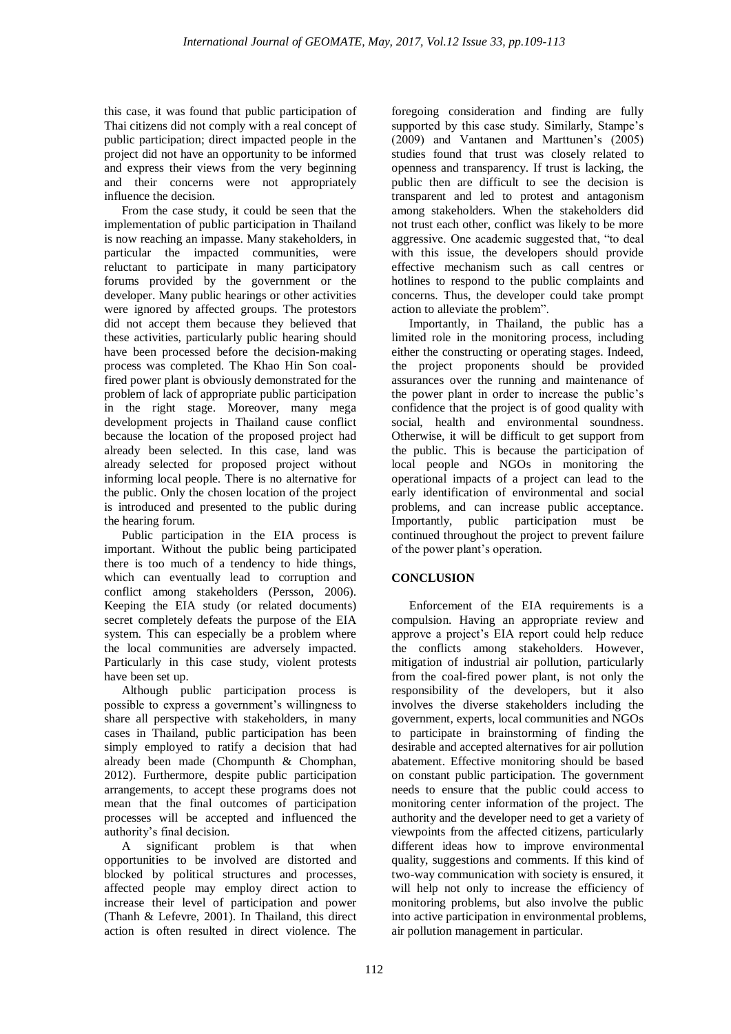this case, it was found that public participation of Thai citizens did not comply with a real concept of public participation; direct impacted people in the project did not have an opportunity to be informed and express their views from the very beginning and their concerns were not appropriately influence the decision.

From the case study, it could be seen that the implementation of public participation in Thailand is now reaching an impasse. Many stakeholders, in particular the impacted communities, were reluctant to participate in many participatory forums provided by the government or the developer. Many public hearings or other activities were ignored by affected groups. The protestors did not accept them because they believed that these activities, particularly public hearing should have been processed before the decision-making process was completed. The Khao Hin Son coalfired power plant is obviously demonstrated for the problem of lack of appropriate public participation in the right stage. Moreover, many mega development projects in Thailand cause conflict because the location of the proposed project had already been selected. In this case, land was already selected for proposed project without informing local people. There is no alternative for the public. Only the chosen location of the project is introduced and presented to the public during the hearing forum.

Public participation in the EIA process is important. Without the public being participated there is too much of a tendency to hide things, which can eventually lead to corruption and conflict among stakeholders (Persson, 2006). Keeping the EIA study (or related documents) secret completely defeats the purpose of the EIA system. This can especially be a problem where the local communities are adversely impacted. Particularly in this case study, violent protests have been set up.

Although public participation process is possible to express a government's willingness to share all perspective with stakeholders, in many cases in Thailand, public participation has been simply employed to ratify a decision that had already been made (Chompunth & Chomphan, 2012). Furthermore, despite public participation arrangements, to accept these programs does not mean that the final outcomes of participation processes will be accepted and influenced the authority's final decision.

A significant problem is that when opportunities to be involved are distorted and blocked by political structures and processes, affected people may employ direct action to increase their level of participation and power (Thanh & Lefevre, 2001). In Thailand, this direct action is often resulted in direct violence. The

foregoing consideration and finding are fully supported by this case study. Similarly, Stampe's (2009) and Vantanen and Marttunen's (2005) studies found that trust was closely related to openness and transparency. If trust is lacking, the public then are difficult to see the decision is transparent and led to protest and antagonism among stakeholders. When the stakeholders did not trust each other, conflict was likely to be more aggressive. One academic suggested that, "to deal with this issue, the developers should provide effective mechanism such as call centres or hotlines to respond to the public complaints and concerns. Thus, the developer could take prompt action to alleviate the problem".

Importantly, in Thailand, the public has a limited role in the monitoring process, including either the constructing or operating stages. Indeed, the project proponents should be provided assurances over the running and maintenance of the power plant in order to increase the public's confidence that the project is of good quality with social, health and environmental soundness. Otherwise, it will be difficult to get support from the public. This is because the participation of local people and NGOs in monitoring the operational impacts of a project can lead to the early identification of environmental and social problems, and can increase public acceptance. Importantly, public participation must be continued throughout the project to prevent failure of the power plant's operation.

## **CONCLUSION**

Enforcement of the EIA requirements is a compulsion. Having an appropriate review and approve a project's EIA report could help reduce the conflicts among stakeholders. However, mitigation of industrial air pollution, particularly from the coal-fired power plant, is not only the responsibility of the developers, but it also involves the diverse stakeholders including the government, experts, local communities and NGOs to participate in brainstorming of finding the desirable and accepted alternatives for air pollution abatement. Effective monitoring should be based on constant public participation. The government needs to ensure that the public could access to monitoring center information of the project. The authority and the developer need to get a variety of viewpoints from the affected citizens, particularly different ideas how to improve environmental quality, suggestions and comments. If this kind of two-way communication with society is ensured, it will help not only to increase the efficiency of monitoring problems, but also involve the public into active participation in environmental problems, air pollution management in particular.